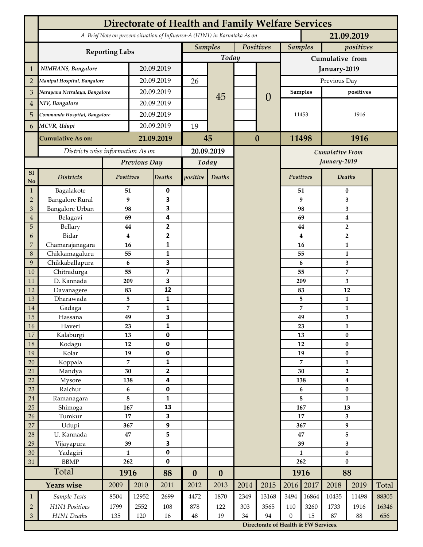|                 | <b>Directorate of Health and Family Welfare Services</b>                                 |                  |            |                         |                  |                  |           |                                      |                 |                             |                           |                                  |       |  |
|-----------------|------------------------------------------------------------------------------------------|------------------|------------|-------------------------|------------------|------------------|-----------|--------------------------------------|-----------------|-----------------------------|---------------------------|----------------------------------|-------|--|
|                 | A Brief Note on present situation of Influenza-A (H1N1) in Karnataka As on<br>21.09.2019 |                  |            |                         |                  |                  |           |                                      |                 |                             |                           |                                  |       |  |
|                 | <b>Reporting Labs</b>                                                                    |                  |            |                         | <b>Samples</b>   |                  | Positives |                                      |                 | <b>Samples</b><br>positives |                           |                                  |       |  |
|                 |                                                                                          |                  |            |                         |                  | Today            |           |                                      | Cumulative from |                             |                           |                                  |       |  |
| $\mathbf{1}$    | NIMHANS, Bangalore                                                                       | 20.09.2019       |            |                         |                  |                  |           | January-2019                         |                 |                             |                           |                                  |       |  |
| $\overline{2}$  | Manipal Hospital, Bangalore                                                              |                  |            | 20.09.2019              |                  |                  |           |                                      | Previous Day    |                             |                           |                                  |       |  |
| 3               | Narayana Netralaya, Bangalore                                                            |                  |            | 20.09.2019              |                  |                  |           |                                      | <b>Samples</b>  |                             | positives                 |                                  |       |  |
| $\overline{4}$  | NIV, Bangalore                                                                           |                  | 20.09.2019 |                         |                  | 45               |           | $\theta$                             |                 |                             |                           |                                  |       |  |
| 5               | Commando Hospital, Bangalore                                                             |                  | 20.09.2019 |                         |                  |                  |           |                                      | 11453           |                             | 1916                      |                                  |       |  |
| 6               | MCVR, Udupi                                                                              |                  | 20.09.2019 |                         | 19               |                  |           |                                      |                 |                             |                           |                                  |       |  |
|                 |                                                                                          |                  |            |                         |                  |                  |           |                                      |                 |                             |                           |                                  |       |  |
|                 | <b>Cumulative As on:</b>                                                                 |                  | 21.09.2019 |                         | 45               |                  |           | $\bf{0}$                             |                 | 1916<br>11498               |                           |                                  |       |  |
|                 | Districts wise information As on                                                         |                  |            | 20.09.2019              |                  |                  |           |                                      |                 | <b>Cumulative From</b>      |                           |                                  |       |  |
|                 |                                                                                          | Previous Day     |            | Today                   |                  |                  |           |                                      |                 |                             | January-2019              |                                  |       |  |
| S1<br>No        | <b>Districts</b>                                                                         | Positives        |            | Deaths                  | positive         | Deaths           |           |                                      | Positives       |                             |                           | Deaths                           |       |  |
| $\mathbf{1}$    | Bagalakote                                                                               | 51               |            | 0                       |                  |                  |           |                                      |                 | 51                          | $\bf{0}$                  |                                  |       |  |
| $\overline{2}$  | <b>Bangalore Rural</b>                                                                   | $\boldsymbol{9}$ |            | 3                       |                  |                  |           |                                      |                 | 9                           | 3                         |                                  |       |  |
| 3               | <b>Bangalore Urban</b>                                                                   | 98               |            | 3                       |                  |                  |           |                                      |                 | 98                          | 3                         |                                  |       |  |
| $\overline{4}$  | Belagavi                                                                                 | 69               |            | 4                       |                  |                  |           |                                      |                 | 69                          |                           | $\boldsymbol{4}$                 |       |  |
| 5<br>6          | Bellary<br>Bidar                                                                         | 44<br>$\bf{4}$   |            | 2<br>$\mathbf{2}$       |                  |                  |           |                                      |                 | 44<br>4                     |                           | $\overline{2}$<br>$\overline{2}$ |       |  |
| 7               | Chamarajanagara                                                                          | 16               |            | 1                       |                  |                  |           |                                      |                 | 16                          |                           | 1                                |       |  |
| 8               | Chikkamagaluru                                                                           | 55               |            | 1                       |                  |                  |           |                                      |                 | 55                          |                           | 1                                |       |  |
| 9               | Chikkaballapura                                                                          | 6                |            | 3                       |                  |                  |           |                                      |                 | 6                           |                           | 3                                |       |  |
| 10              | Chitradurga                                                                              | 55               |            | $\overline{\mathbf{z}}$ |                  |                  |           |                                      |                 | 55                          |                           | 7                                |       |  |
| 11              | D. Kannada                                                                               | 209              |            | 3                       |                  |                  |           |                                      |                 | 209                         |                           | 3                                |       |  |
| 12              | Davanagere                                                                               | 83               |            | 12                      |                  |                  |           |                                      | 83              |                             |                           | 12                               |       |  |
| 13              | Dharawada                                                                                | 5                |            | $\mathbf{1}$            |                  |                  |           |                                      |                 | 5                           |                           | $\mathbf{1}$                     |       |  |
| 14              | Gadaga                                                                                   | 7                |            | 1<br>3                  |                  |                  |           |                                      |                 | 7                           |                           | 1                                |       |  |
| 15<br><b>16</b> | Hassana<br>Haveri                                                                        | 49<br>23         |            | 1                       |                  |                  |           |                                      |                 | 49<br>23                    |                           | 3<br>1                           |       |  |
| 17              | Kalaburgi                                                                                | 13               |            | 0                       |                  |                  |           |                                      |                 | 13                          | $\pmb{0}$                 |                                  |       |  |
| 18              | Kodagu                                                                                   | 12               |            | $\pmb{0}$               |                  |                  |           |                                      |                 | 12                          |                           | $\pmb{0}$                        |       |  |
| 19              | Kolar                                                                                    | 19               |            | 0                       |                  |                  |           |                                      |                 | 19                          |                           | $\pmb{0}$                        |       |  |
| 20              | Koppala                                                                                  | $\overline{7}$   |            | 1                       |                  |                  |           |                                      | 7               |                             | $\mathbf{1}$              |                                  |       |  |
| 21              | Mandya                                                                                   | $30\,$           |            | 2                       |                  |                  |           |                                      | 30              |                             | $\mathbf{2}$              |                                  |       |  |
| 22              | Mysore                                                                                   | 138              |            | 4                       |                  |                  |           |                                      |                 | 138                         |                           | $\boldsymbol{4}$                 |       |  |
| 23              | Raichur                                                                                  | $\bf 6$<br>8     |            | $\pmb{0}$               |                  |                  |           |                                      | 6<br>8          |                             | $\pmb{0}$<br>$\mathbf{1}$ |                                  |       |  |
| $24\,$<br>25    | Ramanagara<br>Shimoga                                                                    | 167              |            | 1<br>13                 |                  |                  |           |                                      | 167             |                             | 13                        |                                  |       |  |
| 26              | Tumkur                                                                                   | 17               |            | 3                       |                  |                  |           |                                      | 17              |                             | 3                         |                                  |       |  |
| 27              | Udupi                                                                                    | 367              |            | 9                       |                  |                  |           |                                      |                 | 367                         |                           | $\boldsymbol{9}$                 |       |  |
| 28              | U. Kannada                                                                               | $\bf 47$         |            | 5                       |                  |                  |           |                                      | 47              |                             | 5                         |                                  |       |  |
| 29              | Vijayapura                                                                               | 39               |            | 3                       |                  |                  |           |                                      | 39              |                             | $\overline{\mathbf{3}}$   |                                  |       |  |
| 30              | Yadagiri                                                                                 | $\mathbf{1}$     |            | 0                       |                  |                  |           |                                      | $\mathbf{1}$    |                             | $\pmb{0}$                 |                                  |       |  |
| 31              | <b>BBMP</b>                                                                              |                  | 262        |                         |                  |                  |           |                                      | 262             |                             | $\bf{0}$                  |                                  |       |  |
|                 | Total                                                                                    | 1916             |            | 88                      | $\boldsymbol{0}$ | $\boldsymbol{0}$ |           |                                      |                 | 1916                        | 88                        |                                  |       |  |
|                 | <b>Years wise</b>                                                                        | 2009             | 2010       | 2011                    | 2012             | 2013             | 2014      | 2015                                 | 2016            | 2017                        | 2018                      | 2019                             | Total |  |
| $\mathbf{1}$    | Sample Tests                                                                             | 8504             | 12952      | 2699                    | 4472             | 1870             | 2349      | 13168                                | 3494            | 16864                       | 10435                     | 11498                            | 88305 |  |
| $\overline{2}$  | H1N1 Positives                                                                           | 1799             | 2552       | 108                     | 878              | 122              | 303       | 3565                                 | 110             | 3260                        | 1733                      | 1916                             | 16346 |  |
| $\mathfrak{Z}$  | H1N1 Deaths                                                                              | 135<br>120<br>16 |            | $48\,$                  | 19               | 94<br>34         |           | $\boldsymbol{0}$                     | 15              | 87                          | 88<br>656                 |                                  |       |  |
|                 |                                                                                          |                  |            |                         |                  |                  |           | Directorate of Health & FW Services. |                 |                             |                           |                                  |       |  |